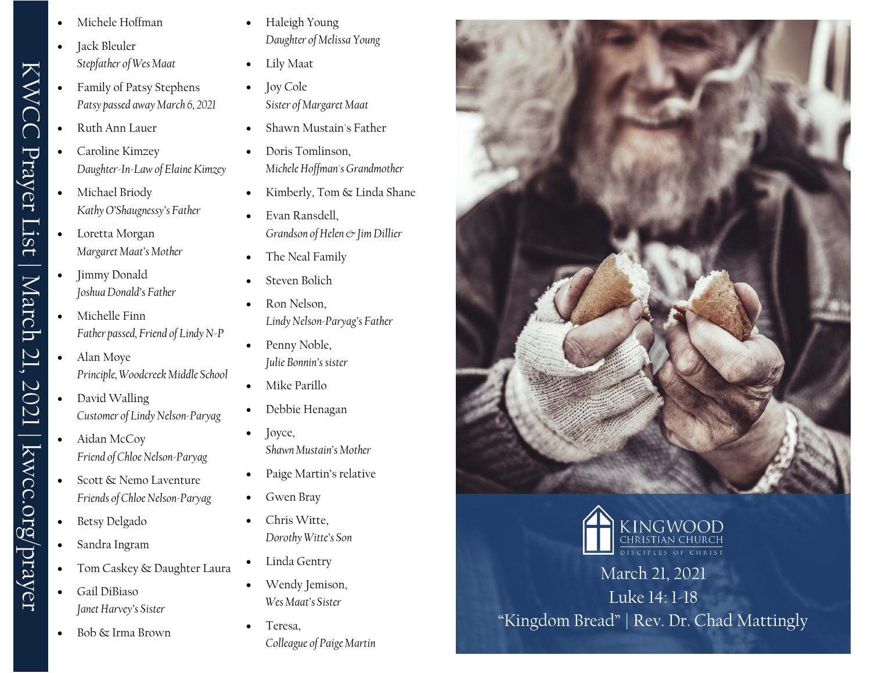- Michele Hoffman
- Jack Bleuler *Stepfather of Wes Maat*
- Family of Patsy Stephens *Patsy passed away March 6, 2021*
- Ruth Ann Lauer
- Caroline Kimzey *Daughter-In-Law of Elaine Kimzey*
- Michael Briody *Kathy O'Shaugnessy's Father*
- Loretta Morgan *Margaret Maat's Mother*
- Jimmy Donald *Joshua Donald's Father*

KWCC Prayer List | March 21, 2021 | kwcc.org/prayer

March 21, 2021 | kwcc.org/prayer

KWCC Prayer List

- Michelle Finn *Father passed, Friend of Lindy N-P*
- Alan Moye *Principle, Woodcreek Middle School*
- David Walling *Customer of Lindy Nelson-Paryag*
- Aidan McCoy *Friend of Chloe Nelson-Paryag*
- Scott & Nemo Laventure *Friends of Chloe Nelson-Paryag*
- Betsy Delgado
- Sandra Ingram
- Tom Caskey & Daughter Laura
- Gail DiBiaso *Janet Harvey's Sister*
- Bob & Irma Brown
- Haleigh Young *Daughter of Melissa Young*
- Lily Maat
	- Joy Cole *Sister of Margaret Maat*
- Shawn Mustain's Father
- Doris Tomlinson, *Michele Hoffman's Grandmother*
- Kimberly, Tom & Linda Shane
- Evan Ransdell, *Grandson of Helen & Jim Dillier*
- The Neal Family
- Steven Bolich
- Ron Nelson. *Lindy Nelson-Paryag's Father*
- Penny Noble, *Julie Bonnin's sister*
- Mike Parillo
- Debbie Henagan
- Joyce, *Shawn Mustain's Mother*
- Paige Martin's relative
- Gwen Bray
- Chris Witte. *Dorothy Witte's Son*
- Linda Gentry
- Wendy Jemison, *Wes Maat's Sister*
- Teresa, *Colleague of Paige Martin*





March 21, 2021 Luke 14: 1-18 "Kingdom Bread" | Rev. Dr. Chad Mattingly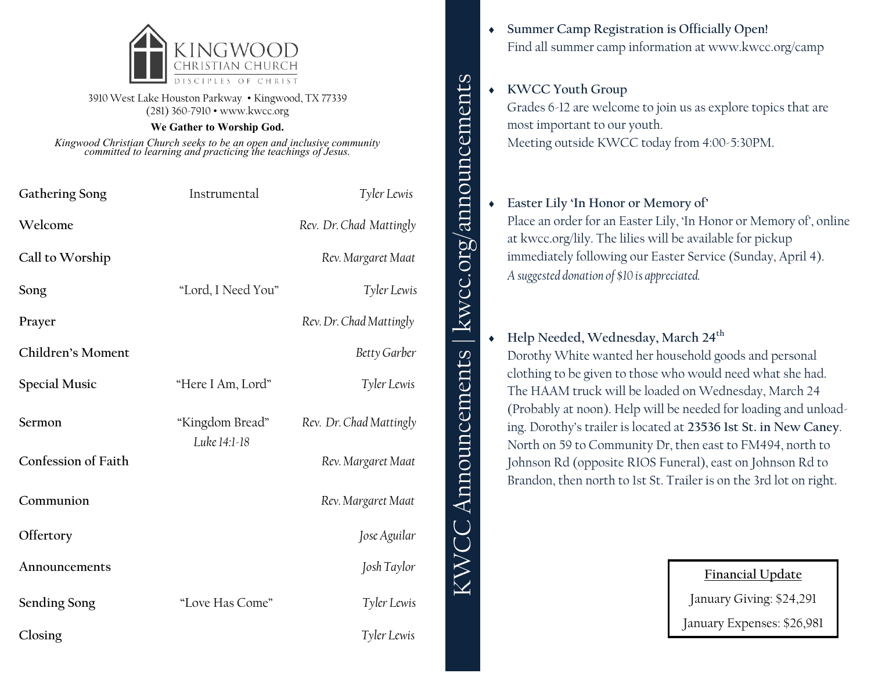

3910 West Lake Houston Parkway • Kingwood, TX 77339 (281) 360-7910 • www.kwcc.org

#### **We Gather to Worship God.**

*Kingwood Christian Church seeks to be an open and inclusive community committed to learning and practicing the teachings of Jesus.*

| Gathering Song       | Instrumental                    | Tyler Lewis             |
|----------------------|---------------------------------|-------------------------|
| Welcome              |                                 | Rev. Dr. Chad Mattingly |
| Call to Worship      |                                 | Rev. Margaret Maat      |
| Song                 | "Lord, I Need You"              | Tyler Lewis             |
| Prayer               |                                 | Rev. Dr. Chad Mattingly |
| Children's Moment    |                                 | Betty Garber            |
| <b>Special Music</b> | "Here I Am, Lord"               | Tyler Lewis             |
| Sermon               | "Kingdom Bread"<br>Luke 14:1-18 | Rev. Dr. Chad Mattingly |
| Confession of Faith  |                                 | Rev. Margaret Maat      |
| Communion            |                                 | Rev. Margaret Maat      |
| Offertory            |                                 | Jose Aguilar            |
| Announcements        |                                 | Josh Taylor             |
| Sending Song         | "Love Has Come"                 | Tyler Lewis             |
| Closing              |                                 | Tyler Lewis             |

- **Summer Camp Registration is Officially Open!** Find all summer camp information at www.kwcc.org/camp
- KWCC Announcements | kwcc.org/announcements **KWCC Youth Group**  Grades 6-12 are welcome to join us as explore topics that are most important to our youth. Meeting outside KWCC today from 4:00-5:30PM.
	- **Easter Lily 'In Honor or Memory of'** Place an order for an Easter Lily, 'In Honor or Memory of', online at kwcc.org/lily. The lilies will be available for pickup immediately following our Easter Service (Sunday, April 4). *A suggested donation of \$10 is appreciated.*
	- **Help Needed, Wednesday, March 24th**

announcements

kwcc.org

Announcements

KW

Dorothy White wanted her household goods and personal clothing to be given to those who would need what she had. The HAAM truck will be loaded on Wednesday, March 24 (Probably at noon). Help will be needed for loading and unloading. Dorothy's trailer is located at **23536 1st St. in New Caney**. North on 59 to Community Dr, then east to FM494, north to Johnson Rd (opposite RIOS Funeral), east on Johnson Rd to Brandon, then north to 1st St. Trailer is on the 3rd lot on right.

> **Financial Update** January Giving: \$24,291

January Expenses: \$26,981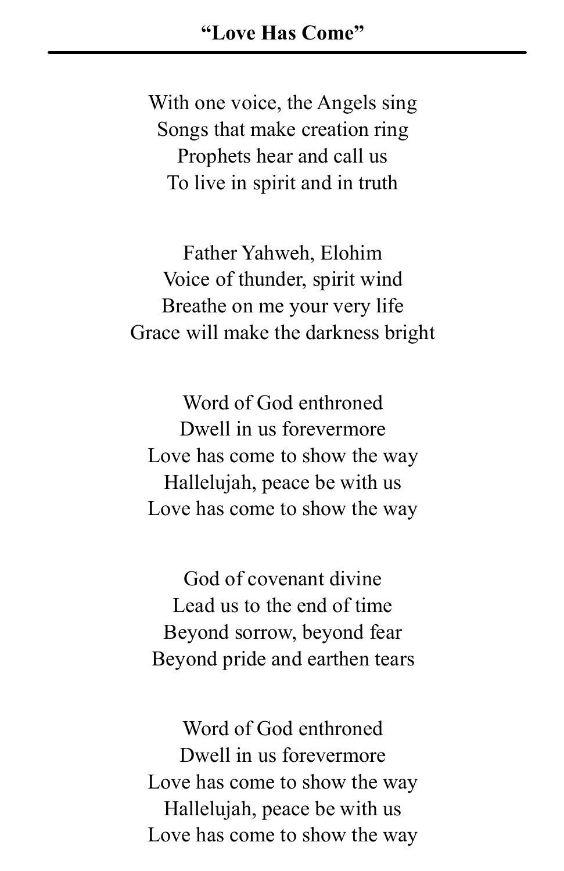With one voice, the Angels sing Songs that make creation ring Prophets hear and call us To live in spirit and in truth

Father Yahweh, Elohim Voice of thunder, spirit wind Breathe on me your very life Grace will make the darkness bright

Word of God enthroned Dwell in us forevermore Love has come to show the way Hallelujah, peace be with us Love has come to show the way

God of covenant divine Lead us to the end of time Beyond sorrow, beyond fear Beyond pride and earthen tears

Word of God enthroned Dwell in us forevermore Love has come to show the way Hallelujah, peace be with us Love has come to show the way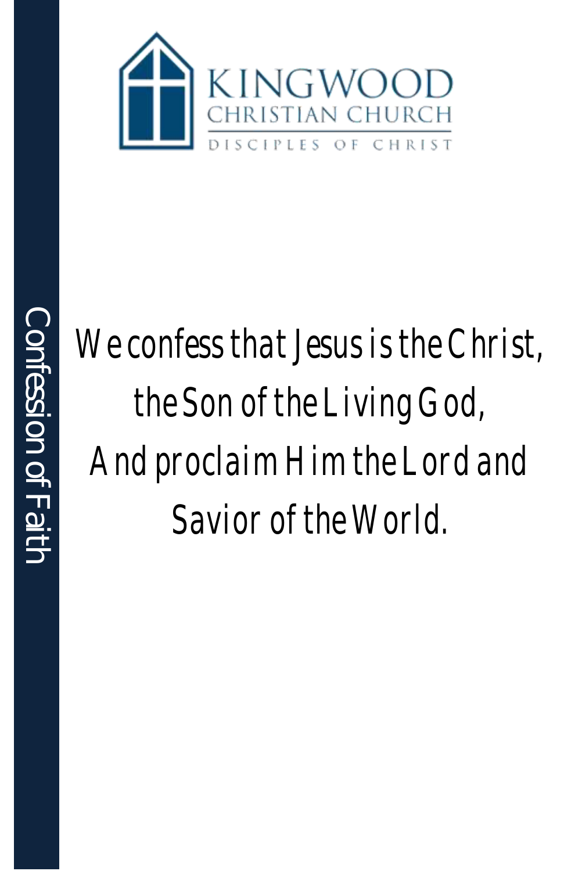

# *We confess that Jesus is the Christ, the Son of the Living God, And proclaim Him the Lord and Savior of the World.*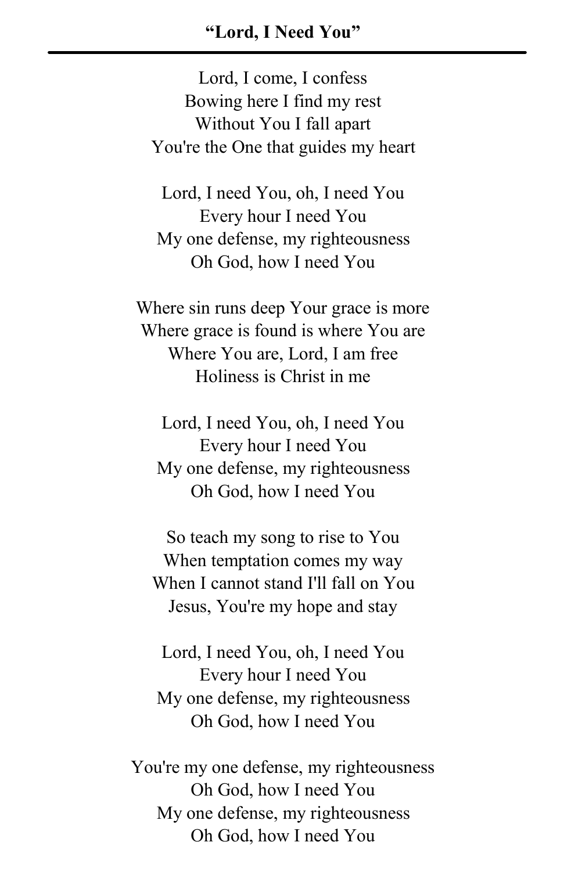Lord, I come, I confess Bowing here I find my rest Without You I fall apart You're the One that guides my heart

Lord, I need You, oh, I need You Every hour I need You My one defense, my righteousness Oh God, how I need You

Where sin runs deep Your grace is more Where grace is found is where You are Where You are, Lord, I am free Holiness is Christ in me

Lord, I need You, oh, I need You Every hour I need You My one defense, my righteousness Oh God, how I need You

So teach my song to rise to You When temptation comes my way When I cannot stand I'll fall on You Jesus, You're my hope and stay

Lord, I need You, oh, I need You Every hour I need You My one defense, my righteousness Oh God, how I need You

You're my one defense, my righteousness Oh God, how I need You My one defense, my righteousness Oh God, how I need You